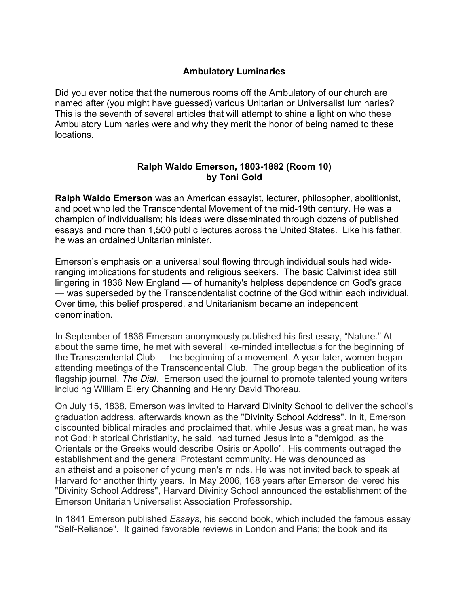## **Ambulatory Luminaries**

Did you ever notice that the numerous rooms off the Ambulatory of our church are named after (you might have guessed) various Unitarian or Universalist luminaries? This is the seventh of several articles that will attempt to shine a light on who these Ambulatory Luminaries were and why they merit the honor of being named to these locations.

## **Ralph Waldo Emerson, 1803-1882 (Room 10) by Toni Gold**

**Ralph Waldo Emerson** was an American essayist, lecturer, philosopher, abolitionist, and poet who led the Transcendental Movement of the mid-19th century. He was a champion of individualism; his ideas were disseminated through dozens of published essays and more than 1,500 public lectures across the United States. Like his father, he was an ordained Unitarian minister.

Emerson's emphasis on a universal soul flowing through individual souls had wideranging implications for students and religious seekers. The basic Calvinist idea still lingering in 1836 New England — of humanity's helpless dependence on God's grace — was superseded by the Transcendentalist doctrine of the God within each individual. Over time, this belief prospered, and Unitarianism became an independent denomination.

In September of 1836 Emerson anonymously published his first essay, "Nature." At about the same time, he met with several like-minded intellectuals for the beginning of the Transcendental Club — the beginning of a movement. A year later, women began attending meetings of the Transcendental Club. The group began the publication of its flagship journal, *The Dial*. Emerson used the journal to promote talented young writers including William Ellery Channing and Henry David Thoreau.

On July 15, 1838, Emerson was invited to Harvard Divinity School to deliver the school's graduation address, afterwards known as the "Divinity School Address". In it, Emerson discounted biblical miracles and proclaimed that, while Jesus was a great man, he was not God: historical Christianity, he said, had turned Jesus into a "demigod, as the Orientals or the Greeks would describe Osiris or Apollo". His comments outraged the establishment and the general Protestant community. He was denounced as an atheist and a poisoner of young men's minds. He was not invited back to speak at Harvard for another thirty years. In May 2006, 168 years after Emerson delivered his "Divinity School Address", Harvard Divinity School announced the establishment of the Emerson Unitarian Universalist Association Professorship.

In 1841 Emerson published *Essays*, his second book, which included the famous essay "Self-Reliance". It gained favorable reviews in London and Paris; the book and its